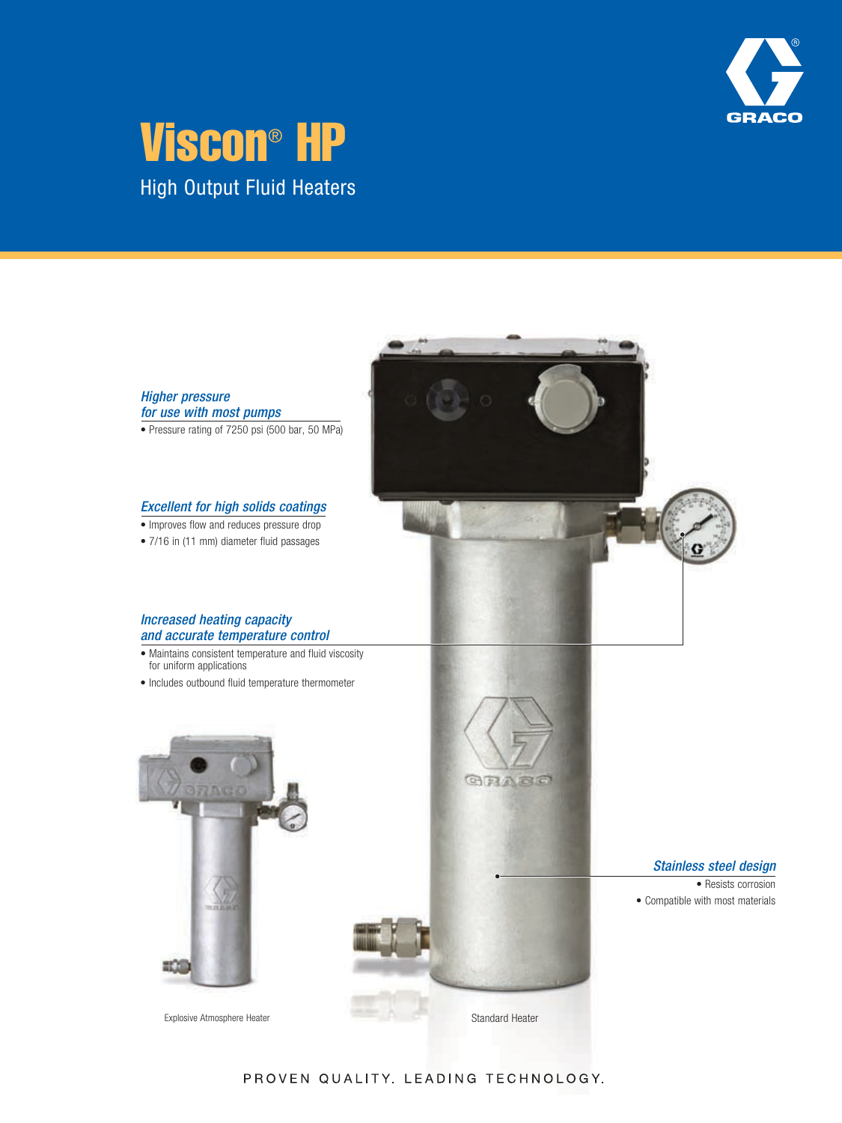

# High Output Fluid Heaters Viscon® HP



PROVEN QUALITY. LEADING TECHNOLOGY.